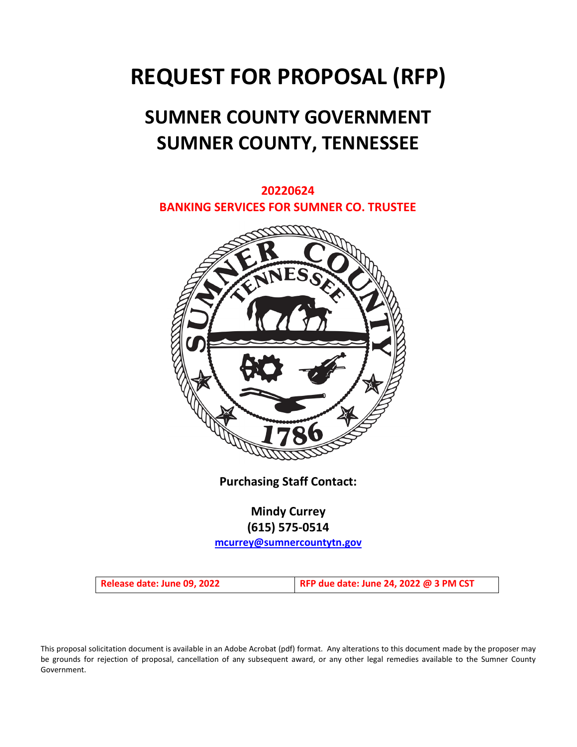# **REQUEST FOR PROPOSAL (RFP)**

# **SUMNER COUNTY GOVERNMENT SUMNER COUNTY, TENNESSEE**

**20220624 BANKING SERVICES FOR SUMNER CO. TRUSTEE**



**Purchasing Staff Contact:**

**Mindy Currey (615) 575-0514**

**[mcurrey@sumnercountytn.gov](mailto:mcurrey@sumnercountytn.gov)**

**Release date: June 09, 2022 RFP due date: June 24, 2022 @ 3 PM CST**

This proposal solicitation document is available in an Adobe Acrobat (pdf) format. Any alterations to this document made by the proposer may be grounds for rejection of proposal, cancellation of any subsequent award, or any other legal remedies available to the Sumner County Government.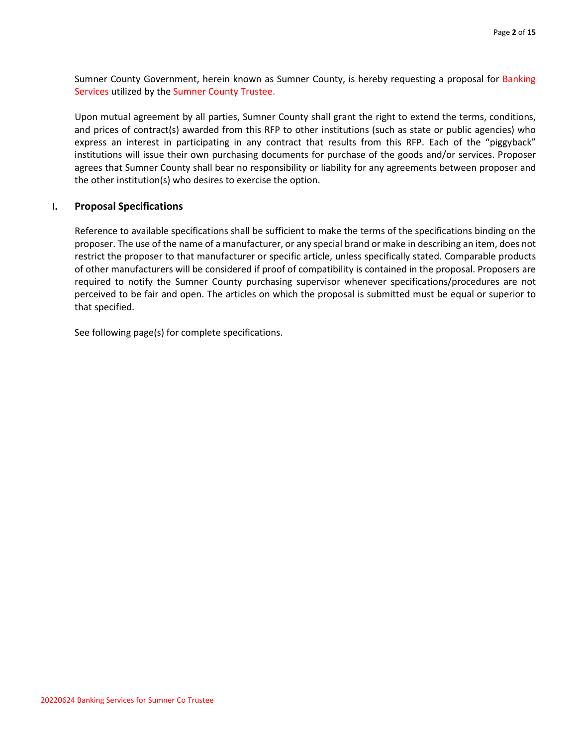Sumner County Government, herein known as Sumner County, is hereby requesting a proposal for Banking Services utilized by the Sumner County Trustee.

Upon mutual agreement by all parties, Sumner County shall grant the right to extend the terms, conditions, and prices of contract(s) awarded from this RFP to other institutions (such as state or public agencies) who express an interest in participating in any contract that results from this RFP. Each of the "piggyback" institutions will issue their own purchasing documents for purchase of the goods and/or services. Proposer agrees that Sumner County shall bear no responsibility or liability for any agreements between proposer and the other institution(s) who desires to exercise the option.

# **I. Proposal Specifications**

Reference to available specifications shall be sufficient to make the terms of the specifications binding on the proposer. The use of the name of a manufacturer, or any special brand or make in describing an item, does not restrict the proposer to that manufacturer or specific article, unless specifically stated. Comparable products of other manufacturers will be considered if proof of compatibility is contained in the proposal. Proposers are required to notify the Sumner County purchasing supervisor whenever specifications/procedures are not perceived to be fair and open. The articles on which the proposal is submitted must be equal or superior to that specified.

See following page(s) for complete specifications.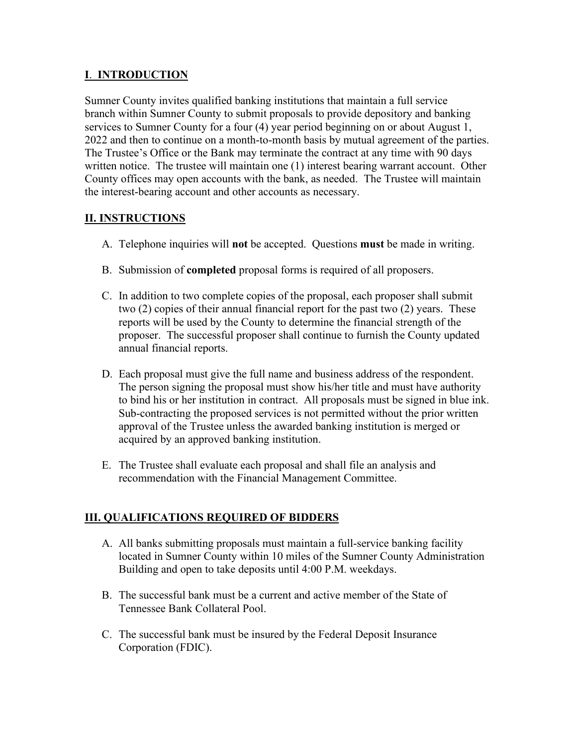# **I**. **INTRODUCTION**

Sumner County invites qualified banking institutions that maintain a full service branch within Sumner County to submit proposals to provide depository and banking services to Sumner County for a four (4) year period beginning on or about August 1, 2022 and then to continue on a month-to-month basis by mutual agreement of the parties. The Trustee's Office or the Bank may terminate the contract at any time with 90 days written notice. The trustee will maintain one (1) interest bearing warrant account. Other County offices may open accounts with the bank, as needed. The Trustee will maintain the interest-bearing account and other accounts as necessary.

# **II. INSTRUCTIONS**

- A. Telephone inquiries will **not** be accepted. Questions **must** be made in writing.
- B. Submission of **completed** proposal forms is required of all proposers.
- C. In addition to two complete copies of the proposal, each proposer shall submit two (2) copies of their annual financial report for the past two (2) years. These reports will be used by the County to determine the financial strength of the proposer. The successful proposer shall continue to furnish the County updated annual financial reports.
- D. Each proposal must give the full name and business address of the respondent. The person signing the proposal must show his/her title and must have authority to bind his or her institution in contract. All proposals must be signed in blue ink. Sub-contracting the proposed services is not permitted without the prior written approval of the Trustee unless the awarded banking institution is merged or acquired by an approved banking institution.
- E. The Trustee shall evaluate each proposal and shall file an analysis and recommendation with the Financial Management Committee.

# **III. QUALIFICATIONS REQUIRED OF BIDDERS**

- A. All banks submitting proposals must maintain a full-service banking facility located in Sumner County within 10 miles of the Sumner County Administration Building and open to take deposits until 4:00 P.M. weekdays.
- B. The successful bank must be a current and active member of the State of Tennessee Bank Collateral Pool.
- C. The successful bank must be insured by the Federal Deposit Insurance Corporation (FDIC).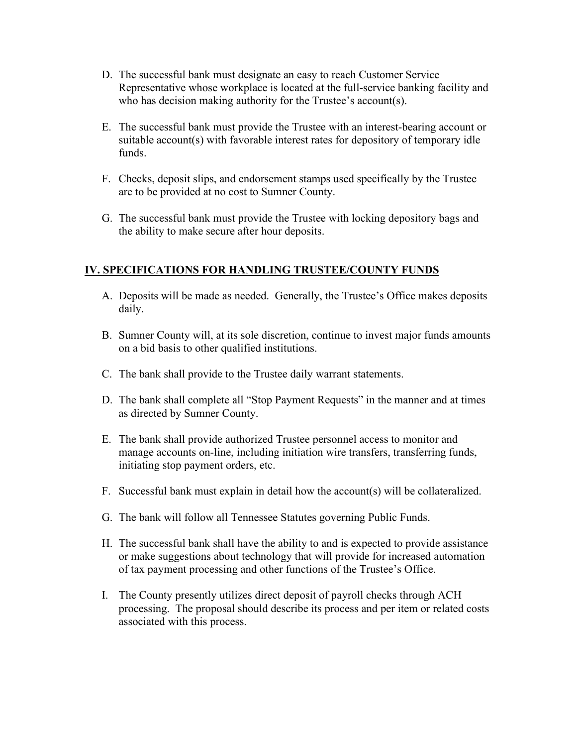- D. The successful bank must designate an easy to reach Customer Service Representative whose workplace is located at the full-service banking facility and who has decision making authority for the Trustee's account(s).
- E. The successful bank must provide the Trustee with an interest-bearing account or suitable account(s) with favorable interest rates for depository of temporary idle funds.
- F. Checks, deposit slips, and endorsement stamps used specifically by the Trustee are to be provided at no cost to Sumner County.
- G. The successful bank must provide the Trustee with locking depository bags and the ability to make secure after hour deposits.

# **IV. SPECIFICATIONS FOR HANDLING TRUSTEE/COUNTY FUNDS**

- A. Deposits will be made as needed. Generally, the Trustee's Office makes deposits daily.
- B. Sumner County will, at its sole discretion, continue to invest major funds amounts on a bid basis to other qualified institutions.
- C. The bank shall provide to the Trustee daily warrant statements.
- D. The bank shall complete all "Stop Payment Requests" in the manner and at times as directed by Sumner County.
- E. The bank shall provide authorized Trustee personnel access to monitor and manage accounts on-line, including initiation wire transfers, transferring funds, initiating stop payment orders, etc.
- F. Successful bank must explain in detail how the account(s) will be collateralized.
- G. The bank will follow all Tennessee Statutes governing Public Funds.
- H. The successful bank shall have the ability to and is expected to provide assistance or make suggestions about technology that will provide for increased automation of tax payment processing and other functions of the Trustee's Office.
- I. The County presently utilizes direct deposit of payroll checks through ACH processing. The proposal should describe its process and per item or related costs associated with this process.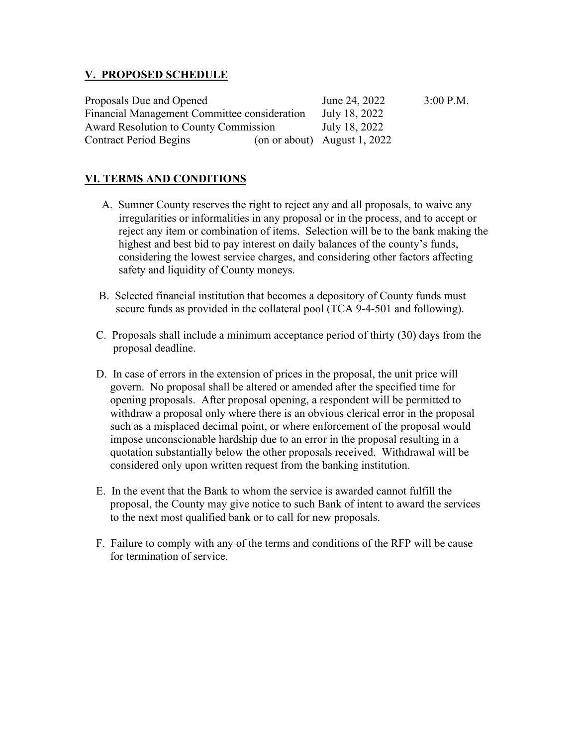# **V. PROPOSED SCHEDULE**

| Proposals Due and Opened                     |  | June 24, 2022                  | $3:00$ P.M. |
|----------------------------------------------|--|--------------------------------|-------------|
| Financial Management Committee consideration |  | July 18, 2022                  |             |
| Award Resolution to County Commission        |  | July 18, 2022                  |             |
| <b>Contract Period Begins</b>                |  | (on or about) August $1, 2022$ |             |

# **VI. TERMS AND CONDITIONS**

- A. Sumner County reserves the right to reject any and all proposals, to waive any irregularities or informalities in any proposal or in the process, and to accept or reject any item or combination of items. Selection will be to the bank making the highest and best bid to pay interest on daily balances of the county's funds, considering the lowest service charges, and considering other factors affecting safety and liquidity of County moneys.
- B. Selected financial institution that becomes a depository of County funds must secure funds as provided in the collateral pool (TCA 9-4-501 and following).
- C. Proposals shall include a minimum acceptance period of thirty (30) days from the proposal deadline.
- D. In case of errors in the extension of prices in the proposal, the unit price will govern. No proposal shall be altered or amended after the specified time for opening proposals. After proposal opening, a respondent will be permitted to withdraw a proposal only where there is an obvious clerical error in the proposal such as a misplaced decimal point, or where enforcement of the proposal would impose unconscionable hardship due to an error in the proposal resulting in a quotation substantially below the other proposals received. Withdrawal will be considered only upon written request from the banking institution.
- E. In the event that the Bank to whom the service is awarded cannot fulfill the proposal, the County may give notice to such Bank of intent to award the services to the next most qualified bank or to call for new proposals.
- F. Failure to comply with any of the terms and conditions of the RFP will be cause for termination of service.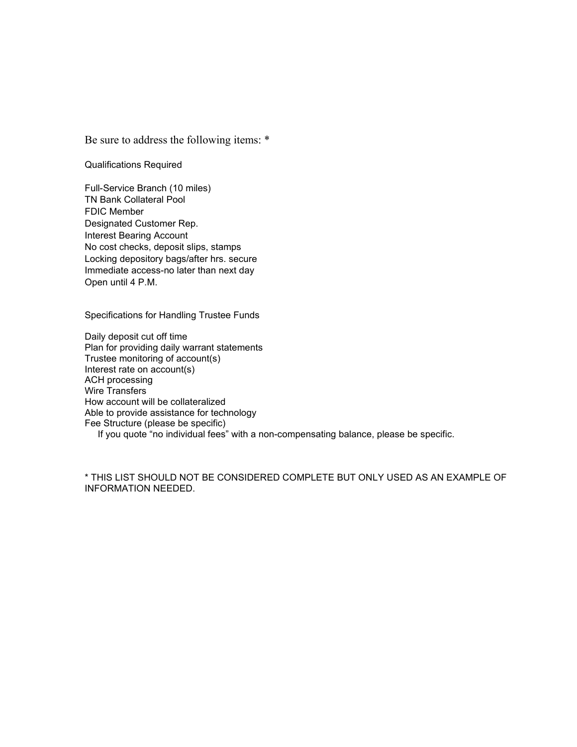Be sure to address the following items: \*

Qualifications Required

Full-Service Branch (10 miles) TN Bank Collateral Pool FDIC Member Designated Customer Rep. Interest Bearing Account No cost checks, deposit slips, stamps Locking depository bags/after hrs. secure Immediate access-no later than next day Open until 4 P.M.

Specifications for Handling Trustee Funds

Daily deposit cut off time Plan for providing daily warrant statements Trustee monitoring of account(s) Interest rate on account(s) ACH processing Wire Transfers How account will be collateralized Able to provide assistance for technology Fee Structure (please be specific)

If you quote "no individual fees" with a non-compensating balance, please be specific.

\* THIS LIST SHOULD NOT BE CONSIDERED COMPLETE BUT ONLY USED AS AN EXAMPLE OF INFORMATION NEEDED.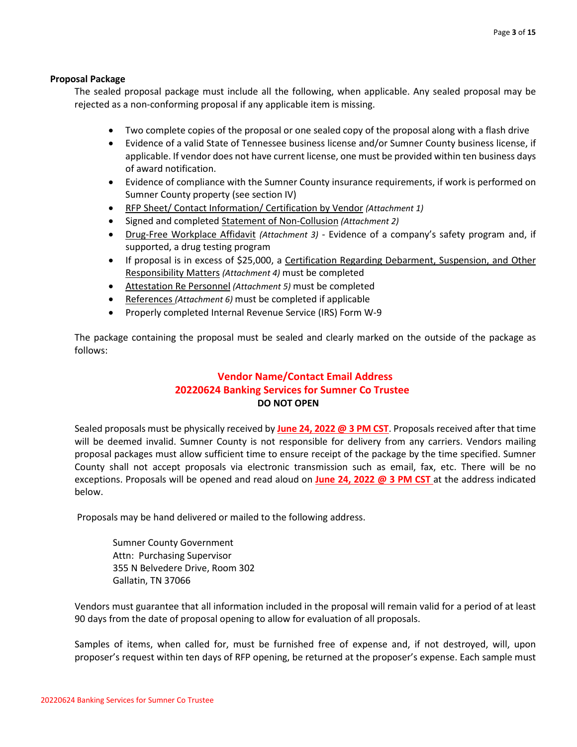## **Proposal Package**

The sealed proposal package must include all the following, when applicable. Any sealed proposal may be rejected as a non-conforming proposal if any applicable item is missing.

- Two complete copies of the proposal or one sealed copy of the proposal along with a flash drive
- Evidence of a valid State of Tennessee business license and/or Sumner County business license, if applicable. If vendor does not have current license, one must be provided within ten business days of award notification.
- Evidence of compliance with the Sumner County insurance requirements, if work is performed on Sumner County property (see section IV)
- RFP Sheet/ Contact Information/ Certification by Vendor *(Attachment 1)*
- Signed and completed Statement of Non-Collusion *(Attachment 2)*
- Drug-Free Workplace Affidavit *(Attachment 3)* Evidence of a company's safety program and, if supported, a drug testing program
- If proposal is in excess of \$25,000, a Certification Regarding Debarment, Suspension, and Other Responsibility Matters *(Attachment 4)* must be completed
- Attestation Re Personnel *(Attachment 5)* must be completed
- References *(Attachment 6)* must be completed if applicable
- Properly completed Internal Revenue Service (IRS) Form W-9

The package containing the proposal must be sealed and clearly marked on the outside of the package as follows:

# **Vendor Name/Contact Email Address 20220624 Banking Services for Sumner Co Trustee DO NOT OPEN**

Sealed proposals must be physically received by **June 24, 2022 @ 3 PM CST**. Proposals received after that time will be deemed invalid. Sumner County is not responsible for delivery from any carriers. Vendors mailing proposal packages must allow sufficient time to ensure receipt of the package by the time specified. Sumner County shall not accept proposals via electronic transmission such as email, fax, etc. There will be no exceptions. Proposals will be opened and read aloud on **June 24, 2022 @ 3 PM CST** at the address indicated below.

Proposals may be hand delivered or mailed to the following address.

Sumner County Government Attn: Purchasing Supervisor 355 N Belvedere Drive, Room 302 Gallatin, TN 37066

Vendors must guarantee that all information included in the proposal will remain valid for a period of at least 90 days from the date of proposal opening to allow for evaluation of all proposals.

Samples of items, when called for, must be furnished free of expense and, if not destroyed, will, upon proposer's request within ten days of RFP opening, be returned at the proposer's expense. Each sample must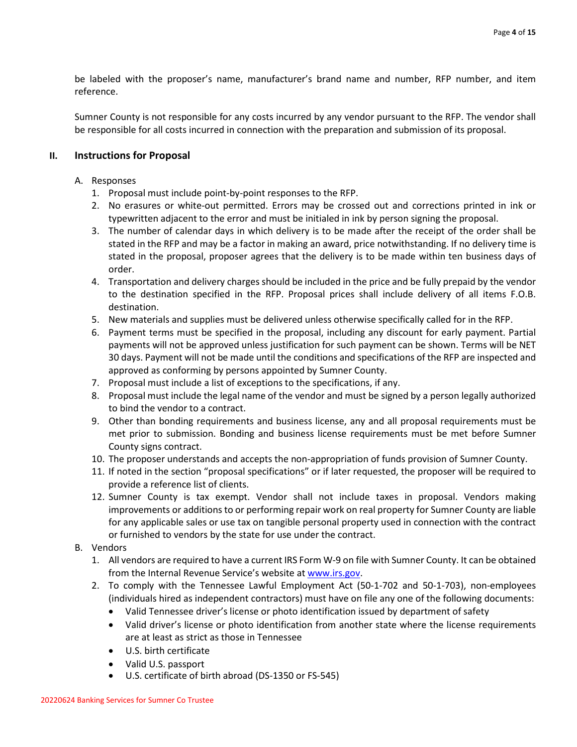be labeled with the proposer's name, manufacturer's brand name and number, RFP number, and item reference.

Sumner County is not responsible for any costs incurred by any vendor pursuant to the RFP. The vendor shall be responsible for all costs incurred in connection with the preparation and submission of its proposal.

# **II. Instructions for Proposal**

# A. Responses

- 1. Proposal must include point-by-point responses to the RFP.
- 2. No erasures or white-out permitted. Errors may be crossed out and corrections printed in ink or typewritten adjacent to the error and must be initialed in ink by person signing the proposal.
- 3. The number of calendar days in which delivery is to be made after the receipt of the order shall be stated in the RFP and may be a factor in making an award, price notwithstanding. If no delivery time is stated in the proposal, proposer agrees that the delivery is to be made within ten business days of order.
- 4. Transportation and delivery charges should be included in the price and be fully prepaid by the vendor to the destination specified in the RFP. Proposal prices shall include delivery of all items F.O.B. destination.
- 5. New materials and supplies must be delivered unless otherwise specifically called for in the RFP.
- 6. Payment terms must be specified in the proposal, including any discount for early payment. Partial payments will not be approved unless justification for such payment can be shown. Terms will be NET 30 days. Payment will not be made until the conditions and specifications of the RFP are inspected and approved as conforming by persons appointed by Sumner County.
- 7. Proposal must include a list of exceptions to the specifications, if any.
- 8. Proposal must include the legal name of the vendor and must be signed by a person legally authorized to bind the vendor to a contract.
- 9. Other than bonding requirements and business license, any and all proposal requirements must be met prior to submission. Bonding and business license requirements must be met before Sumner County signs contract.
- 10. The proposer understands and accepts the non-appropriation of funds provision of Sumner County.
- 11. If noted in the section "proposal specifications" or if later requested, the proposer will be required to provide a reference list of clients.
- 12. Sumner County is tax exempt. Vendor shall not include taxes in proposal. Vendors making improvements or additions to or performing repair work on real property for Sumner County are liable for any applicable sales or use tax on tangible personal property used in connection with the contract or furnished to vendors by the state for use under the contract.
- B. Vendors
	- 1. All vendors are required to have a current IRS Form W-9 on file with Sumner County. It can be obtained from the Internal Revenue Service's website a[t www.irs.gov.](http://www.irs.gov/)
	- 2. To comply with the Tennessee Lawful Employment Act (50-1-702 and 50-1-703), non-employees (individuals hired as independent contractors) must have on file any one of the following documents:
		- Valid Tennessee driver's license or photo identification issued by department of safety
		- Valid driver's license or photo identification from another state where the license requirements are at least as strict as those in Tennessee
		- U.S. birth certificate
		- Valid U.S. passport
		- U.S. certificate of birth abroad (DS-1350 or FS-545)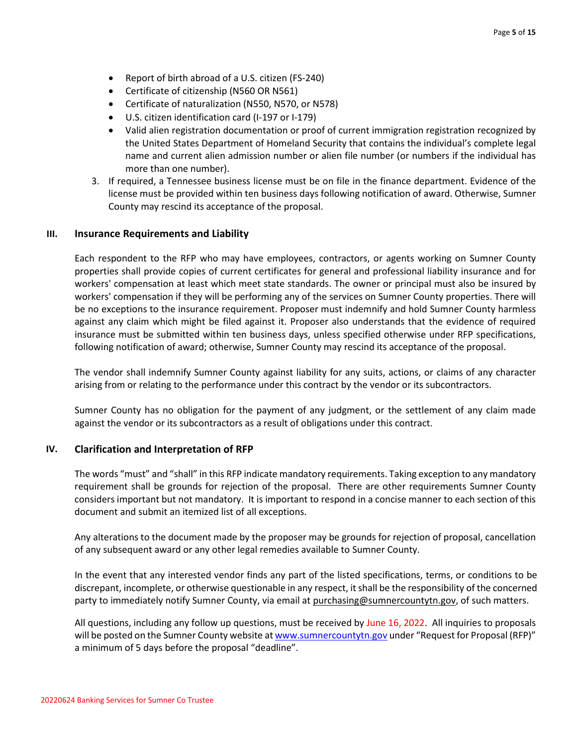- Report of birth abroad of a U.S. citizen (FS-240)
- Certificate of citizenship (N560 OR N561)
- Certificate of naturalization (N550, N570, or N578)
- U.S. citizen identification card (I-197 or I-179)
- Valid alien registration documentation or proof of current immigration registration recognized by the United States Department of Homeland Security that contains the individual's complete legal name and current alien admission number or alien file number (or numbers if the individual has more than one number).
- 3. If required, a Tennessee business license must be on file in the finance department. Evidence of the license must be provided within ten business days following notification of award. Otherwise, Sumner County may rescind its acceptance of the proposal.

#### **III. Insurance Requirements and Liability**

Each respondent to the RFP who may have employees, contractors, or agents working on Sumner County properties shall provide copies of current certificates for general and professional liability insurance and for workers' compensation at least which meet state standards. The owner or principal must also be insured by workers' compensation if they will be performing any of the services on Sumner County properties. There will be no exceptions to the insurance requirement. Proposer must indemnify and hold Sumner County harmless against any claim which might be filed against it. Proposer also understands that the evidence of required insurance must be submitted within ten business days, unless specified otherwise under RFP specifications, following notification of award; otherwise, Sumner County may rescind its acceptance of the proposal.

The vendor shall indemnify Sumner County against liability for any suits, actions, or claims of any character arising from or relating to the performance under this contract by the vendor or its subcontractors.

Sumner County has no obligation for the payment of any judgment, or the settlement of any claim made against the vendor or its subcontractors as a result of obligations under this contract.

#### **IV. Clarification and Interpretation of RFP**

The words "must" and "shall" in this RFP indicate mandatory requirements. Taking exception to any mandatory requirement shall be grounds for rejection of the proposal. There are other requirements Sumner County considers important but not mandatory. It is important to respond in a concise manner to each section of this document and submit an itemized list of all exceptions.

Any alterations to the document made by the proposer may be grounds for rejection of proposal, cancellation of any subsequent award or any other legal remedies available to Sumner County.

In the event that any interested vendor finds any part of the listed specifications, terms, or conditions to be discrepant, incomplete, or otherwise questionable in any respect, it shall be the responsibility of the concerned party to immediately notify Sumner County, via email at purchasing@sumnercountytn.gov, of such matters.

All questions, including any follow up questions, must be received by June 16, 2022. All inquiries to proposals will be posted on the Sumner County website a[t www.sumnercountytn.gov](http://www.sumnercountytn.gov/) under "Request for Proposal (RFP)" a minimum of 5 days before the proposal "deadline".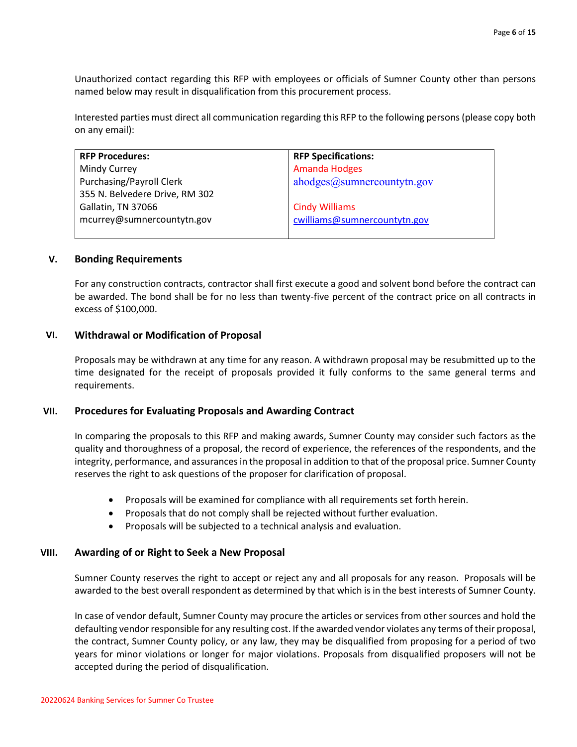Unauthorized contact regarding this RFP with employees or officials of Sumner County other than persons named below may result in disqualification from this procurement process.

Interested parties must direct all communication regarding this RFP to the following persons (please copy both on any email):

| <b>RFP Procedures:</b>          | <b>RFP Specifications:</b>   |
|---------------------------------|------------------------------|
| Mindy Currey                    | <b>Amanda Hodges</b>         |
| <b>Purchasing/Payroll Clerk</b> | $abodes@$ sumnercountytn.gov |
| 355 N. Belvedere Drive, RM 302  |                              |
| Gallatin, TN 37066              | <b>Cindy Williams</b>        |
| mcurrey@sumnercountytn.gov      | cwilliams@sumnercountytn.gov |
|                                 |                              |

#### **V. Bonding Requirements**

For any construction contracts, contractor shall first execute a good and solvent bond before the contract can be awarded. The bond shall be for no less than twenty-five percent of the contract price on all contracts in excess of \$100,000.

#### **VI. Withdrawal or Modification of Proposal**

Proposals may be withdrawn at any time for any reason. A withdrawn proposal may be resubmitted up to the time designated for the receipt of proposals provided it fully conforms to the same general terms and requirements.

#### **VII. Procedures for Evaluating Proposals and Awarding Contract**

In comparing the proposals to this RFP and making awards, Sumner County may consider such factors as the quality and thoroughness of a proposal, the record of experience, the references of the respondents, and the integrity, performance, and assurances in the proposal in addition to that of the proposal price. Sumner County reserves the right to ask questions of the proposer for clarification of proposal.

- Proposals will be examined for compliance with all requirements set forth herein.
- Proposals that do not comply shall be rejected without further evaluation.
- Proposals will be subjected to a technical analysis and evaluation.

#### **VIII. Awarding of or Right to Seek a New Proposal**

Sumner County reserves the right to accept or reject any and all proposals for any reason.Proposals will be awarded to the best overall respondent as determined by that which is in the best interests of Sumner County.

In case of vendor default, Sumner County may procure the articles or services from other sources and hold the defaulting vendor responsible for any resulting cost. If the awarded vendor violates any terms of their proposal, the contract, Sumner County policy, or any law, they may be disqualified from proposing for a period of two years for minor violations or longer for major violations. Proposals from disqualified proposers will not be accepted during the period of disqualification.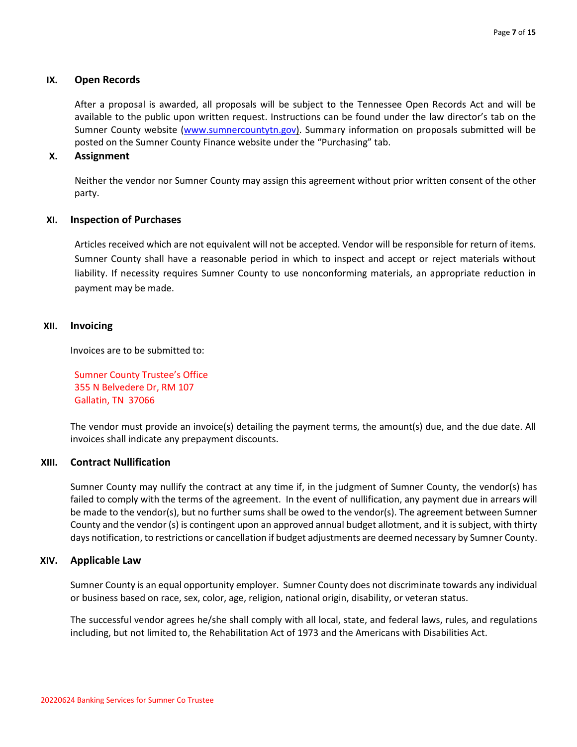# **IX. Open Records**

After a proposal is awarded, all proposals will be subject to the Tennessee Open Records Act and will be available to the public upon written request. Instructions can be found under the law director's tab on the Sumner County website [\(www.sumnercountytn.gov\)](http://www.sumnercountytn.gov/). Summary information on proposals submitted will be posted on the Sumner County Finance website under the "Purchasing" tab.

# **X. Assignment**

Neither the vendor nor Sumner County may assign this agreement without prior written consent of the other party.

## **XI. Inspection of Purchases**

Articles received which are not equivalent will not be accepted. Vendor will be responsible for return of items. Sumner County shall have a reasonable period in which to inspect and accept or reject materials without liability. If necessity requires Sumner County to use nonconforming materials, an appropriate reduction in payment may be made.

## **XII. Invoicing**

Invoices are to be submitted to:

Sumner County Trustee's Office 355 N Belvedere Dr, RM 107 Gallatin, TN 37066

The vendor must provide an invoice(s) detailing the payment terms, the amount(s) due, and the due date. All invoices shall indicate any prepayment discounts.

## **XIII. Contract Nullification**

Sumner County may nullify the contract at any time if, in the judgment of Sumner County, the vendor(s) has failed to comply with the terms of the agreement. In the event of nullification, any payment due in arrears will be made to the vendor(s), but no further sums shall be owed to the vendor(s). The agreement between Sumner County and the vendor (s) is contingent upon an approved annual budget allotment, and it is subject, with thirty days notification, to restrictions or cancellation if budget adjustments are deemed necessary by Sumner County.

## **XIV. Applicable Law**

Sumner County is an equal opportunity employer. Sumner County does not discriminate towards any individual or business based on race, sex, color, age, religion, national origin, disability, or veteran status.

The successful vendor agrees he/she shall comply with all local, state, and federal laws, rules, and regulations including, but not limited to, the Rehabilitation Act of 1973 and the Americans with Disabilities Act.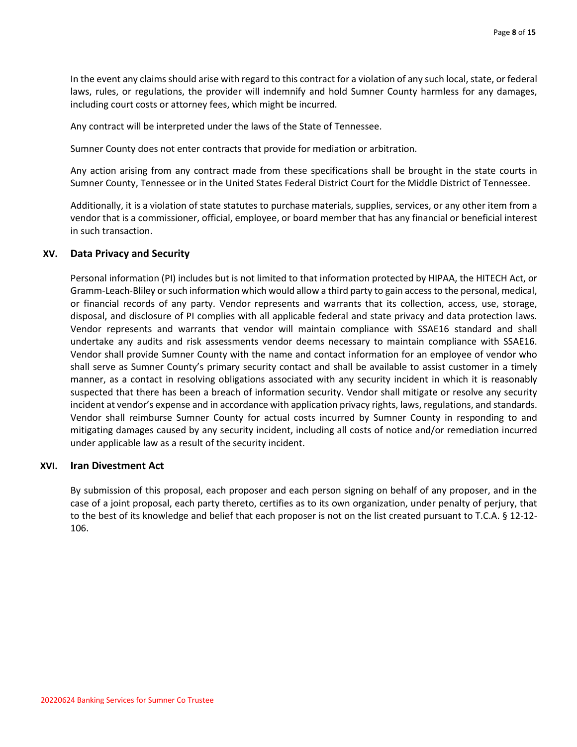In the event any claims should arise with regard to this contract for a violation of any such local, state, or federal laws, rules, or regulations, the provider will indemnify and hold Sumner County harmless for any damages, including court costs or attorney fees, which might be incurred.

Any contract will be interpreted under the laws of the State of Tennessee.

Sumner County does not enter contracts that provide for mediation or arbitration.

Any action arising from any contract made from these specifications shall be brought in the state courts in Sumner County, Tennessee or in the United States Federal District Court for the Middle District of Tennessee.

Additionally, it is a violation of state statutes to purchase materials, supplies, services, or any other item from a vendor that is a commissioner, official, employee, or board member that has any financial or beneficial interest in such transaction.

#### **XV. Data Privacy and Security**

Personal information (PI) includes but is not limited to that information protected by HIPAA, the HITECH Act, or Gramm-Leach-Bliley or such information which would allow a third party to gain access to the personal, medical, or financial records of any party. Vendor represents and warrants that its collection, access, use, storage, disposal, and disclosure of PI complies with all applicable federal and state privacy and data protection laws. Vendor represents and warrants that vendor will maintain compliance with SSAE16 standard and shall undertake any audits and risk assessments vendor deems necessary to maintain compliance with SSAE16. Vendor shall provide Sumner County with the name and contact information for an employee of vendor who shall serve as Sumner County's primary security contact and shall be available to assist customer in a timely manner, as a contact in resolving obligations associated with any security incident in which it is reasonably suspected that there has been a breach of information security. Vendor shall mitigate or resolve any security incident at vendor's expense and in accordance with application privacy rights, laws, regulations, and standards. Vendor shall reimburse Sumner County for actual costs incurred by Sumner County in responding to and mitigating damages caused by any security incident, including all costs of notice and/or remediation incurred under applicable law as a result of the security incident.

#### **XVI. Iran Divestment Act**

By submission of this proposal, each proposer and each person signing on behalf of any proposer, and in the case of a joint proposal, each party thereto, certifies as to its own organization, under penalty of perjury, that to the best of its knowledge and belief that each proposer is not on the list created pursuant to T.C.A. § 12-12- 106.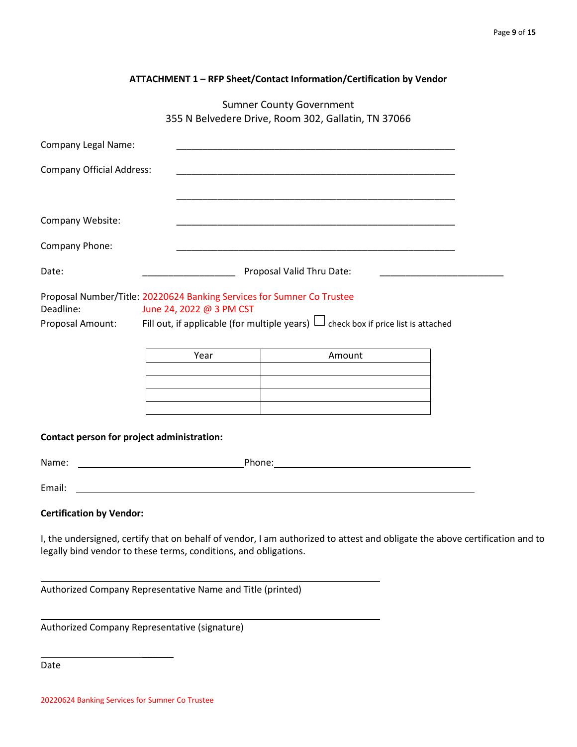|  |  | ATTACHMENT 1 - RFP Sheet/Contact Information/Certification by Vendor |  |
|--|--|----------------------------------------------------------------------|--|
|--|--|----------------------------------------------------------------------|--|

Sumner County Government 355 N Belvedere Drive, Room 302, Gallatin, TN 37066

| <b>Company Legal Name:</b>                                                                                                                                                                                                  |                                                                                                                                                                                                                                | <u> 1989 - Johann Stoff, amerikansk politiker (d. 1989)</u>                                                                                                                                  |                                                                            |
|-----------------------------------------------------------------------------------------------------------------------------------------------------------------------------------------------------------------------------|--------------------------------------------------------------------------------------------------------------------------------------------------------------------------------------------------------------------------------|----------------------------------------------------------------------------------------------------------------------------------------------------------------------------------------------|----------------------------------------------------------------------------|
| <b>Company Official Address:</b>                                                                                                                                                                                            |                                                                                                                                                                                                                                |                                                                                                                                                                                              |                                                                            |
|                                                                                                                                                                                                                             |                                                                                                                                                                                                                                |                                                                                                                                                                                              |                                                                            |
| Company Website:                                                                                                                                                                                                            |                                                                                                                                                                                                                                |                                                                                                                                                                                              |                                                                            |
| Company Phone:                                                                                                                                                                                                              |                                                                                                                                                                                                                                |                                                                                                                                                                                              |                                                                            |
| Date:                                                                                                                                                                                                                       | Proposal Valid Thru Date:                                                                                                                                                                                                      |                                                                                                                                                                                              | the control of the control of the control of the control of the control of |
| Proposal Number/Title: 20220624 Banking Services for Sumner Co Trustee<br>Deadline:<br>June 24, 2022 @ 3 PM CST<br>Proposal Amount: Fill out, if applicable (for multiple years) $\Box$ check box if price list is attached |                                                                                                                                                                                                                                |                                                                                                                                                                                              |                                                                            |
|                                                                                                                                                                                                                             | Year                                                                                                                                                                                                                           | Amount<br><u> 1980 - Johann John Stein, marwolaeth a bhann an t-Amhainn an t-Amhainn an t-Amhainn an t-Amhainn an t-Amhain</u><br><u> 1989 - Johann Stoff, amerikansk politiker (* 1908)</u> |                                                                            |
| Contact person for project administration:                                                                                                                                                                                  |                                                                                                                                                                                                                                |                                                                                                                                                                                              |                                                                            |
|                                                                                                                                                                                                                             |                                                                                                                                                                                                                                |                                                                                                                                                                                              |                                                                            |
| Email:                                                                                                                                                                                                                      |                                                                                                                                                                                                                                | <u> 1989 - Johann Stoff, amerikansk politiker (* 1908)</u>                                                                                                                                   |                                                                            |
| <b>Certification by Vendor:</b>                                                                                                                                                                                             | in the second contract of the second contract of the second contract of the second contract of the second contract of the second contract of the second contract of the second contract of the second contract of the second c |                                                                                                                                                                                              |                                                                            |

I, the undersigned, certify that on behalf of vendor, I am authorized to attest and obligate the above certification and to legally bind vendor to these terms, conditions, and obligations.

Authorized Company Representative Name and Title (printed)

Authorized Company Representative (signature)

 $\overline{\phantom{a}}$ 

Date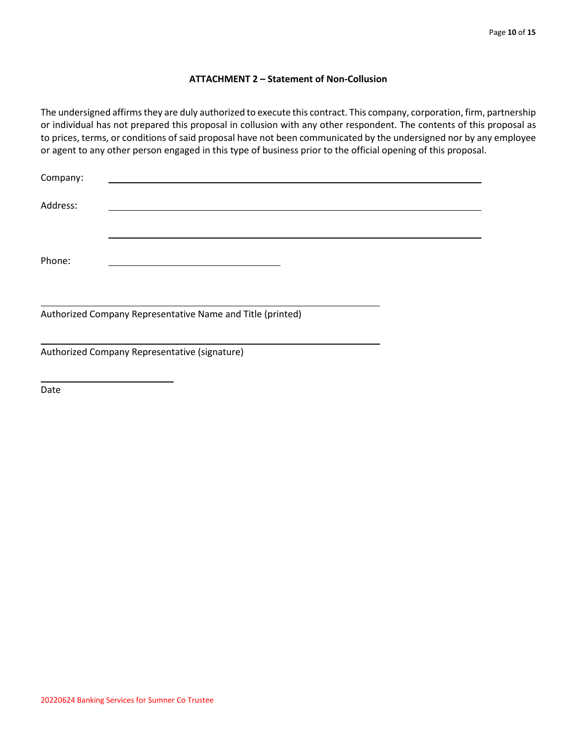## **ATTACHMENT 2 – Statement of Non-Collusion**

The undersigned affirms they are duly authorized to execute this contract. This company, corporation, firm, partnership or individual has not prepared this proposal in collusion with any other respondent. The contents of this proposal as to prices, terms, or conditions of said proposal have not been communicated by the undersigned nor by any employee or agent to any other person engaged in this type of business prior to the official opening of this proposal.

| Company: |                                                            |  |
|----------|------------------------------------------------------------|--|
| Address: |                                                            |  |
| Phone:   |                                                            |  |
|          | Authorized Company Representative Name and Title (printed) |  |
|          | Authorized Company Representative (signature)              |  |

Date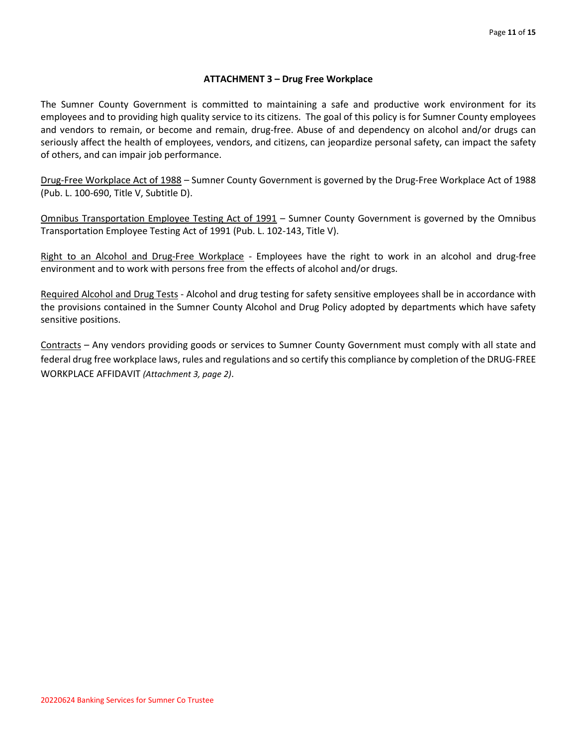# **ATTACHMENT 3 – Drug Free Workplace**

The Sumner County Government is committed to maintaining a safe and productive work environment for its employees and to providing high quality service to its citizens. The goal of this policy is for Sumner County employees and vendors to remain, or become and remain, drug-free. Abuse of and dependency on alcohol and/or drugs can seriously affect the health of employees, vendors, and citizens, can jeopardize personal safety, can impact the safety of others, and can impair job performance.

Drug-Free Workplace Act of 1988 – Sumner County Government is governed by the Drug-Free Workplace Act of 1988 (Pub. L. 100-690, Title V, Subtitle D).

Omnibus Transportation Employee Testing Act of 1991 – Sumner County Government is governed by the Omnibus Transportation Employee Testing Act of 1991 (Pub. L. 102-143, Title V).

Right to an Alcohol and Drug-Free Workplace - Employees have the right to work in an alcohol and drug-free environment and to work with persons free from the effects of alcohol and/or drugs.

Required Alcohol and Drug Tests - Alcohol and drug testing for safety sensitive employees shall be in accordance with the provisions contained in the Sumner County Alcohol and Drug Policy adopted by departments which have safety sensitive positions.

Contracts – Any vendors providing goods or services to Sumner County Government must comply with all state and federal drug free workplace laws, rules and regulations and so certify this compliance by completion of the DRUG-FREE WORKPLACE AFFIDAVIT *(Attachment 3, page 2)*.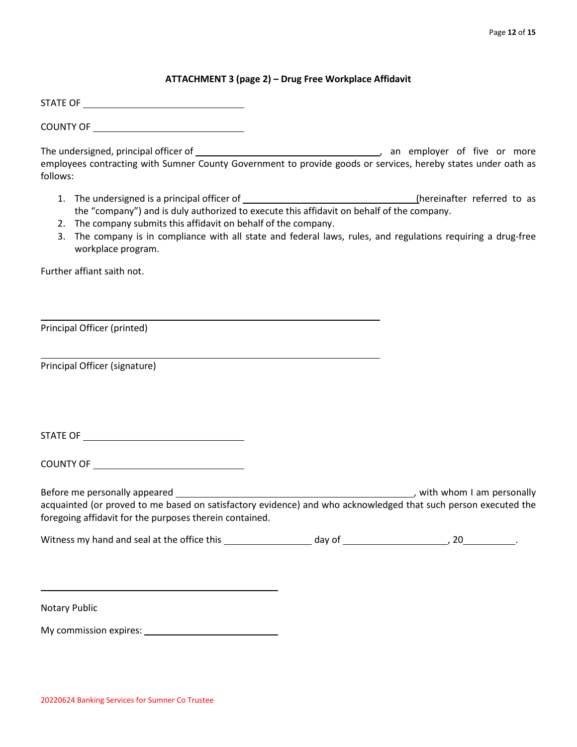# **ATTACHMENT 3 (page 2) – Drug Free Workplace Affidavit**

STATE OF

COUNTY OF

The undersigned, principal officer of the state of the state of the state of the or more of five or more employees contracting with Sumner County Government to provide goods or services, hereby states under oath as follows:

- 1. The undersigned is a principal officer of (hereinafter referred to as the "company") and is duly authorized to execute this affidavit on behalf of the company.
- 2. The company submits this affidavit on behalf of the company.
- 3. The company is in compliance with all state and federal laws, rules, and regulations requiring a drug-free workplace program.

Further affiant saith not.

Principal Officer (printed)

Principal Officer (signature)

STATE OF

COUNTY OF

Before me personally appeared , with whom I am personally acquainted (or proved to me based on satisfactory evidence) and who acknowledged that such person executed the foregoing affidavit for the purposes therein contained.

| Witness my hand and seal at the office this | dav of |  |
|---------------------------------------------|--------|--|
|---------------------------------------------|--------|--|

Notary Public

My commission expires: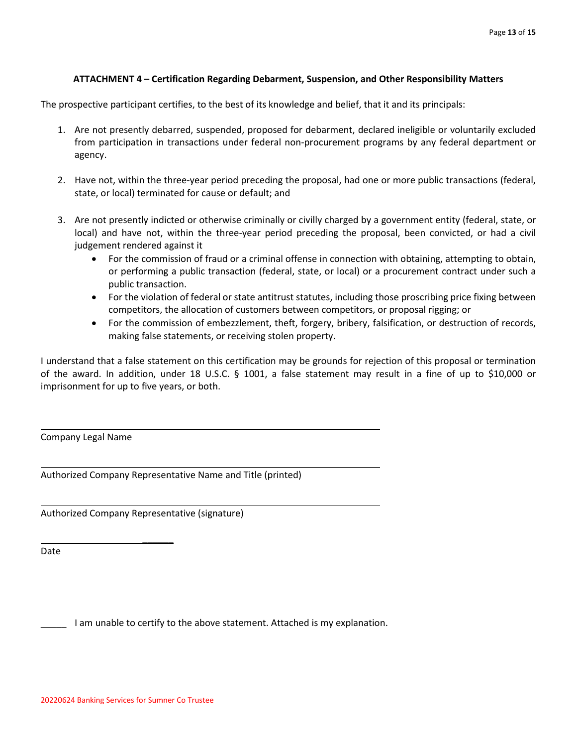# **ATTACHMENT 4 – Certification Regarding Debarment, Suspension, and Other Responsibility Matters**

The prospective participant certifies, to the best of its knowledge and belief, that it and its principals:

- 1. Are not presently debarred, suspended, proposed for debarment, declared ineligible or voluntarily excluded from participation in transactions under federal non-procurement programs by any federal department or agency.
- 2. Have not, within the three-year period preceding the proposal, had one or more public transactions (federal, state, or local) terminated for cause or default; and
- 3. Are not presently indicted or otherwise criminally or civilly charged by a government entity (federal, state, or local) and have not, within the three-year period preceding the proposal, been convicted, or had a civil judgement rendered against it
	- For the commission of fraud or a criminal offense in connection with obtaining, attempting to obtain, or performing a public transaction (federal, state, or local) or a procurement contract under such a public transaction.
	- For the violation of federal or state antitrust statutes, including those proscribing price fixing between competitors, the allocation of customers between competitors, or proposal rigging; or
	- For the commission of embezzlement, theft, forgery, bribery, falsification, or destruction of records, making false statements, or receiving stolen property.

I understand that a false statement on this certification may be grounds for rejection of this proposal or termination of the award. In addition, under 18 U.S.C. § 1001, a false statement may result in a fine of up to \$10,000 or imprisonment for up to five years, or both.

Company Legal Name

Authorized Company Representative Name and Title (printed)

Authorized Company Representative (signature)

 $\overline{\phantom{a}}$ 

Date

\_\_\_\_\_ I am unable to certify to the above statement. Attached is my explanation.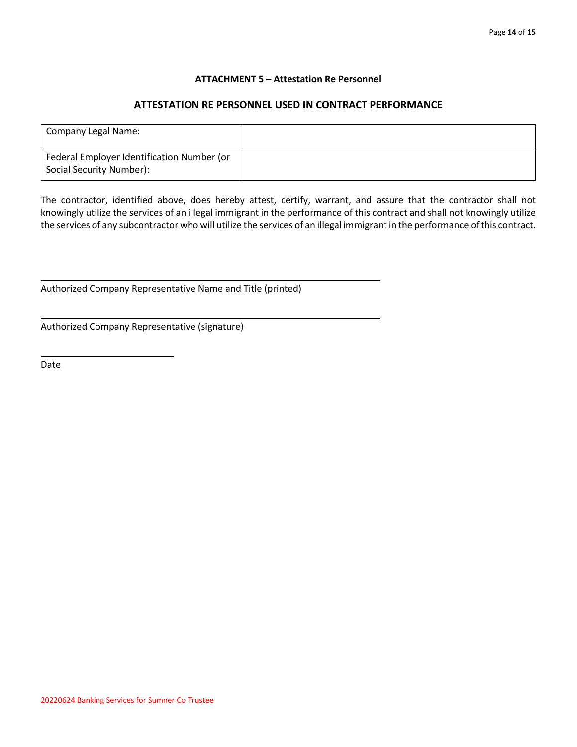# **ATTACHMENT 5 – Attestation Re Personnel**

# **ATTESTATION RE PERSONNEL USED IN CONTRACT PERFORMANCE**

| Company Legal Name:                                                    |  |
|------------------------------------------------------------------------|--|
| Federal Employer Identification Number (or<br>Social Security Number): |  |

The contractor, identified above, does hereby attest, certify, warrant, and assure that the contractor shall not knowingly utilize the services of an illegal immigrant in the performance of this contract and shall not knowingly utilize the services of any subcontractor who will utilize the services of an illegal immigrant in the performance of this contract.

Authorized Company Representative Name and Title (printed)

Authorized Company Representative (signature)

 $\overline{\phantom{a}}$ 

Date